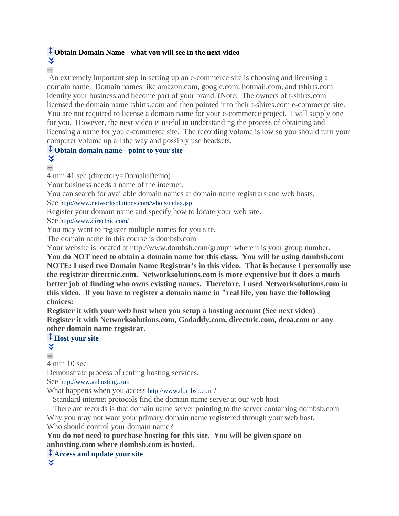### **[O](http://blackboard.dom.edu/webapps/blackboard/content/listContentEditable.jsp?content_id=_228014_1&course_id=_3712_1)btain Domain Name - what you will see in the next video**

×.  $\qquad \qquad =$ 

An extremely important step in setting up an e-commerce site is choosing and licensing a domain name. Domain names like amazon.com, google.com, hotmail.com, and tshirts.com identify your business and become part of your brand. (Note: The owners of t-shirts.com licensed the domain name tshirts.com and then pointed it to their t-shires.com e-commerce site. You are not required to license a domain name for your e-commerce project. I will supply one for you. However, the next video is useful in understanding the process of obtaining and licensing a name for you e-commerce site. The recording volume is low so you should turn your computer volume up all the way and possibly use headsets.

#### **Obtain [domain](http://www.millerjw.com/dom/gsb622online/DomainDemo/DomainDemo/DomainDemo.html) name - point to your site**

×.  $\qquad \qquad =$ 

4 min 41 sec (directory=DomainDemo)

Your business needs a name of the internet.

You can search for available domain names at domain name registrars and web hosts.

See <http://www.networksolutions.com/whois/index.jsp>

Register your domain name and specify how to locate your web site.

See <http://www.directnic.com/>

You may want to register multiple names for you site.

The domain name in this course is dombsb.com

Your website is located at http://www.dombsb.com/groupn where n is your group number.

**You do NOT need to obtain a domain name for this class. You will be using dombsb.com NOTE: I used two Domain Name Registrar's in this video. That is because I personally use the registrar directnic.com. Networksolutions.com is more expensive but it does a much better job of finding who owns existing names. Therefore, I used Networksolutions.com in this video. If you have to register a domain name in "real life, you have the following choices:**

**Register it with your web host when you setup a hosting account (See next video) Register it with Networksolutions.com, Godaddy.com, directnic.com, droa.com or any other domain name registrar.**

# **[Host](http://www.millerjw.com/dom/gsb622online/GetAHost/GetAHost.html) your site**

×.  $\qquad \qquad =$ 

4 min 10 sec

Demonstrate process of renting hosting services.

See [http://www.anhosting.com](http://www.anhosting.com/)

What happens when you access [http://www.dombsb.com](http://www.dombsb.com/)?

Standard internet protocols find the domain name server at our web host

There are records is that domain name server pointing to the server containing dombsb.com Why you may not want your primary domain name registered through your web host. Who should control your domain name?

**You do not need to purchase hosting for this site. You will be given space on anhosting.com where dombsb.com is hosted.**

**[A](http://blackboard.dom.edu/webapps/blackboard/content/listContentEditable.jsp?content_id=_228014_1&course_id=_3712_1)ccess and [update](http://www.millerjw.com/dom/gsb622online/BuildWebPage/BuildWebPage.html) your site**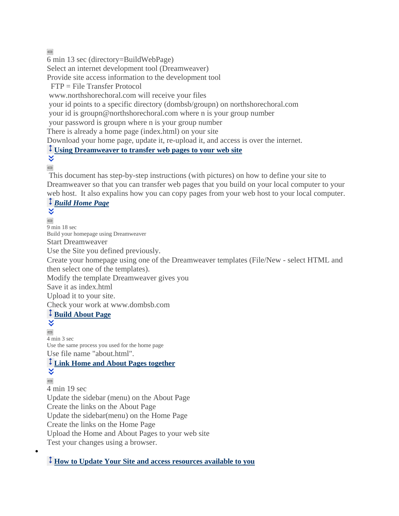$\qquad \qquad =$ 

6 min 13 sec (directory=BuildWebPage)

Select an internet development tool (Dreamweaver)

Provide site access information to the development tool

FTP = File Transfer Protocol

www.northshorechoral.com will receive your files

your id points to a specific directory (dombsb/groupn) on northshorechoral.com

your id is groupn@northshorechoral.com where n is your group number

your password is groupn where n is your group number

There is already a home page (index.html) on your site

Download your home page, update it, re-upload it, and access is over the internet.

## **Using [Dreamweaver](http://www.millerjw.com/dom/gsb622online/ecommerce/definesite.pdf) to transfer web pages to your web site**

¥  $\qquad \qquad \qquad \Box$ 

 $\bullet$ 

This document has step-by-step instructions (with pictures) on how to define your site to Dreamweaver so that you can transfer web pages that you build on your local computer to your web host. It also expalins how you can copy pages from your web host to your local computer.

# *Build [Home](http://www.millerjw.com/dom/gsb622online/BuildHomePage/BuildHomePage.html) Page*

×.  $\qquad \qquad =$ 9 min 18 sec Build your homepage using Dreamweaver Start Dreamweaver Use the Site you defined previously. Create your homepage using one of the Dreamweaver templates (File/New - select HTML and then select one of the templates). Modify the template Dreamweaver gives you Save it as index.html Upload it to your site. Check your work at www.dombsb.com **Build [About](http://www.millerjw.com/dom/gsb622online/BuildAboutPage/BuildAboutPage.html) Page** ×, 4 min 3 sec Use the same process you used for the home page Use file name "about.html". **Link Home and About Pages [together](http://www.millerjw.com/dom/gsb622online/LinkHomeAndAbout/LinkHomeAndAbout.html)** ×.  $\qquad \qquad =$ 4 min 19 sec Update the sidebar (menu) on the About Page Create the links on the About Page Update the sidebar(menu) on the Home Page Create the links on the Home Page Upload the Home and About Pages to your web site Test your changes using a browser.

#### **How to Update Your Site and access [resources](http://www.millerjw.com/dom/gsb622online/ecommerce/websitelogistics.html) available to you**